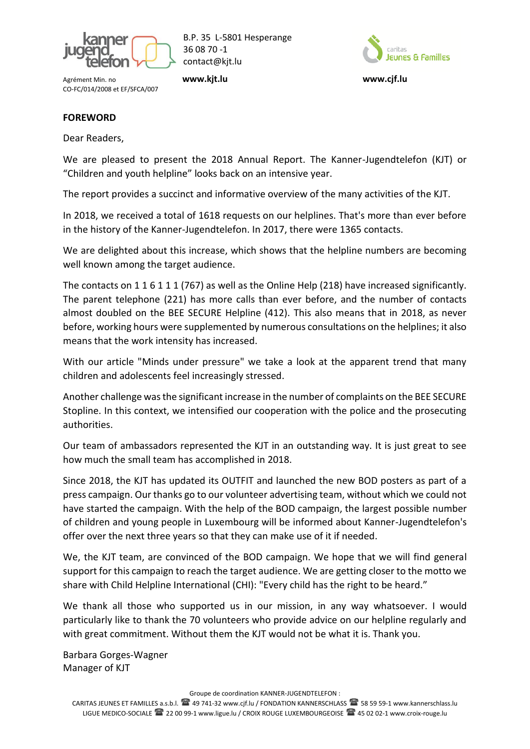

B.P. 35 L-5801 Hesperange 36 08 70 -1 contact@kjt.lu

Agrément Min. no **[www.kjt.lu](http://www.kjt.lu/) www.cjf.lu** CO-FC/014/2008 et EF/SFCA/007



# **FOREWORD**

Dear Readers,

We are pleased to present the 2018 Annual Report. The Kanner-Jugendtelefon (KJT) or "Children and youth helpline" looks back on an intensive year.

The report provides a succinct and informative overview of the many activities of the KJT.

In 2018, we received a total of 1618 requests on our helplines. That's more than ever before in the history of the Kanner-Jugendtelefon. In 2017, there were 1365 contacts.

We are delighted about this increase, which shows that the helpline numbers are becoming well known among the target audience.

The contacts on 1 1 6 1 1 1 (767) as well as the Online Help (218) have increased significantly. The parent telephone (221) has more calls than ever before, and the number of contacts almost doubled on the BEE SECURE Helpline (412). This also means that in 2018, as never before, working hours were supplemented by numerous consultations on the helplines; it also means that the work intensity has increased.

With our article "Minds under pressure" we take a look at the apparent trend that many children and adolescents feel increasingly stressed.

Another challenge was the significant increase in the number of complaints on the BEE SECURE Stopline. In this context, we intensified our cooperation with the police and the prosecuting authorities.

Our team of ambassadors represented the KJT in an outstanding way. It is just great to see how much the small team has accomplished in 2018.

Since 2018, the KJT has updated its OUTFIT and launched the new BOD posters as part of a press campaign. Our thanks go to our volunteer advertising team, without which we could not have started the campaign. With the help of the BOD campaign, the largest possible number of children and young people in Luxembourg will be informed about Kanner-Jugendtelefon's offer over the next three years so that they can make use of it if needed.

We, the KJT team, are convinced of the BOD campaign. We hope that we will find general support for this campaign to reach the target audience. We are getting closer to the motto we share with Child Helpline International (CHI): "Every child has the right to be heard."

We thank all those who supported us in our mission, in any way whatsoever. I would particularly like to thank the 70 volunteers who provide advice on our helpline regularly and with great commitment. Without them the KJT would not be what it is. Thank you.

Barbara Gorges-Wagner Manager of KJT

Groupe de coordination KANNER-JUGENDTELEFON :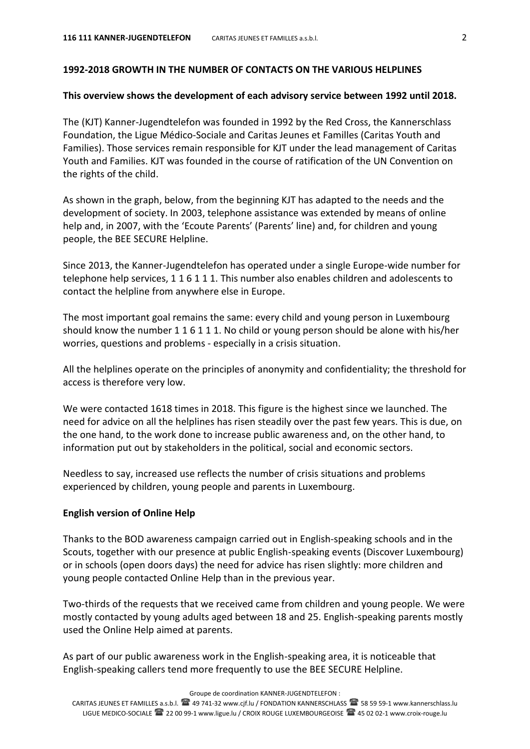## **1992-2018 GROWTH IN THE NUMBER OF CONTACTS ON THE VARIOUS HELPLINES**

#### **This overview shows the development of each advisory service between 1992 until 2018.**

The (KJT) Kanner-Jugendtelefon was founded in 1992 by the Red Cross, the Kannerschlass Foundation, the Ligue Médico-Sociale and Caritas Jeunes et Familles (Caritas Youth and Families). Those services remain responsible for KJT under the lead management of Caritas Youth and Families. KJT was founded in the course of ratification of the UN Convention on the rights of the child.

As shown in the graph, below, from the beginning KJT has adapted to the needs and the development of society. In 2003, telephone assistance was extended by means of online help and, in 2007, with the 'Ecoute Parents' (Parents' line) and, for children and young people, the BEE SECURE Helpline.

Since 2013, the Kanner-Jugendtelefon has operated under a single Europe-wide number for telephone help services, 1 1 6 1 1 1. This number also enables children and adolescents to contact the helpline from anywhere else in Europe.

The most important goal remains the same: every child and young person in Luxembourg should know the number 1 1 6 1 1 1. No child or young person should be alone with his/her worries, questions and problems - especially in a crisis situation.

All the helplines operate on the principles of anonymity and confidentiality; the threshold for access is therefore very low.

We were contacted 1618 times in 2018. This figure is the highest since we launched. The need for advice on all the helplines has risen steadily over the past few years. This is due, on the one hand, to the work done to increase public awareness and, on the other hand, to information put out by stakeholders in the political, social and economic sectors.

Needless to say, increased use reflects the number of crisis situations and problems experienced by children, young people and parents in Luxembourg.

#### **English version of Online Help**

Thanks to the BOD awareness campaign carried out in English-speaking schools and in the Scouts, together with our presence at public English-speaking events (Discover Luxembourg) or in schools (open doors days) the need for advice has risen slightly: more children and young people contacted Online Help than in the previous year.

Two-thirds of the requests that we received came from children and young people. We were mostly contacted by young adults aged between 18 and 25. English-speaking parents mostly used the Online Help aimed at parents.

As part of our public awareness work in the English-speaking area, it is noticeable that English-speaking callers tend more frequently to use the BEE SECURE Helpline.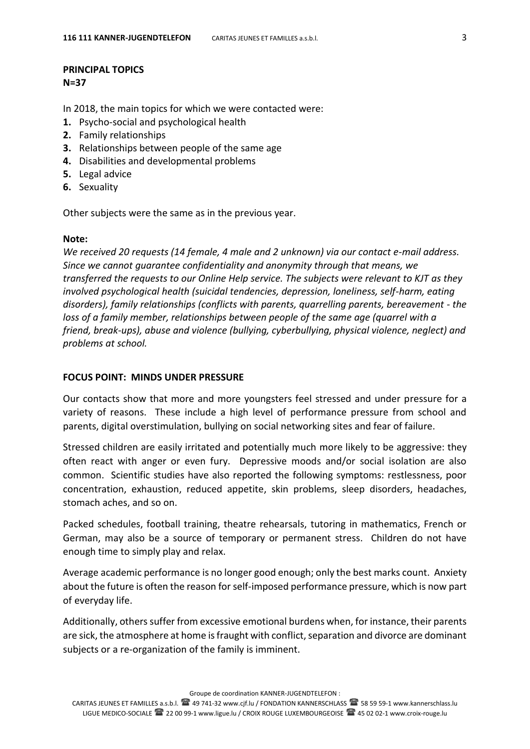## **PRINCIPAL TOPICS N=37**

In 2018, the main topics for which we were contacted were:

- **1.** Psycho-social and psychological health
- **2.** Family relationships
- **3.** Relationships between people of the same age
- **4.** Disabilities and developmental problems
- **5.** Legal advice
- **6.** Sexuality

Other subjects were the same as in the previous year.

#### **Note:**

*We received 20 requests (14 female, 4 male and 2 unknown) via our contact e-mail address. Since we cannot guarantee confidentiality and anonymity through that means, we transferred the requests to our Online Help service. The subjects were relevant to KJT as they involved psychological health (suicidal tendencies, depression, loneliness, self-harm, eating disorders), family relationships (conflicts with parents, quarrelling parents, bereavement - the loss of a family member, relationships between people of the same age (quarrel with a friend, break-ups), abuse and violence (bullying, cyberbullying, physical violence, neglect) and problems at school.* 

# **FOCUS POINT: MINDS UNDER PRESSURE**

Our contacts show that more and more youngsters feel stressed and under pressure for a variety of reasons. These include a high level of performance pressure from school and parents, digital overstimulation, bullying on social networking sites and fear of failure.

Stressed children are easily irritated and potentially much more likely to be aggressive: they often react with anger or even fury. Depressive moods and/or social isolation are also common. Scientific studies have also reported the following symptoms: restlessness, poor concentration, exhaustion, reduced appetite, skin problems, sleep disorders, headaches, stomach aches, and so on.

Packed schedules, football training, theatre rehearsals, tutoring in mathematics, French or German, may also be a source of temporary or permanent stress. Children do not have enough time to simply play and relax.

Average academic performance is no longer good enough; only the best marks count. Anxiety about the future is often the reason for self-imposed performance pressure, which is now part of everyday life.

Additionally, others suffer from excessive emotional burdens when, for instance, their parents are sick, the atmosphere at home is fraught with conflict, separation and divorce are dominant subjects or a re-organization of the family is imminent.

Groupe de coordination KANNER-JUGENDTELEFON :